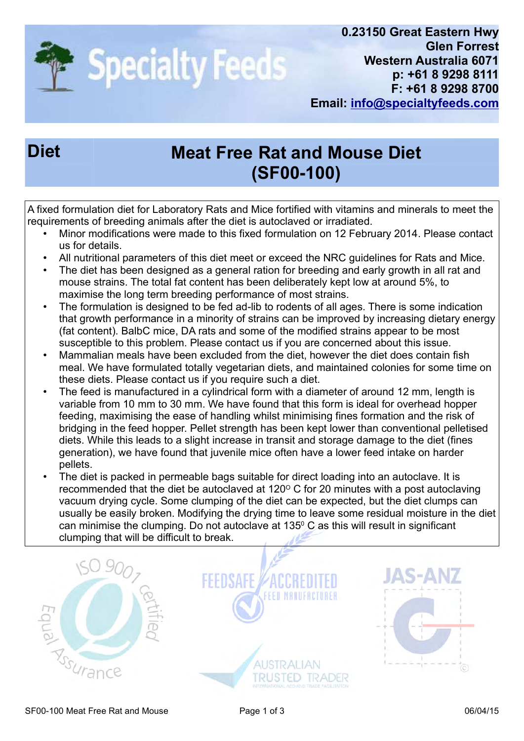

## Diet Meat Free Rat and Mouse Diet (SF00-100)

A fixed formulation diet for Laboratory Rats and Mice fortified with vitamins and minerals to meet the requirements of breeding animals after the diet is autoclaved or irradiated.

- Minor modifications were made to this fixed formulation on 12 February 2014. Please contact us for details.
- All nutritional parameters of this diet meet or exceed the NRC guidelines for Rats and Mice.
- The diet has been designed as a general ration for breeding and early growth in all rat and mouse strains. The total fat content has been deliberately kept low at around 5%, to maximise the long term breeding performance of most strains.
- The formulation is designed to be fed ad-lib to rodents of all ages. There is some indication that growth performance in a minority of strains can be improved by increasing dietary energy (fat content). BalbC mice, DA rats and some of the modified strains appear to be most susceptible to this problem. Please contact us if you are concerned about this issue.
- Mammalian meals have been excluded from the diet, however the diet does contain fish meal. We have formulated totally vegetarian diets, and maintained colonies for some time on these diets. Please contact us if you require such a diet.
- The feed is manufactured in a cylindrical form with a diameter of around 12 mm, length is variable from 10 mm to 30 mm. We have found that this form is ideal for overhead hopper feeding, maximising the ease of handling whilst minimising fines formation and the risk of bridging in the feed hopper. Pellet strength has been kept lower than conventional pelletised diets. While this leads to a slight increase in transit and storage damage to the diet (fines generation), we have found that juvenile mice often have a lower feed intake on harder pellets.
- The diet is packed in permeable bags suitable for direct loading into an autoclave. It is recommended that the diet be autoclaved at  $120^{\circ}$  C for 20 minutes with a post autoclaving vacuum drying cycle. Some clumping of the diet can be expected, but the diet clumps can usually be easily broken. Modifying the drying time to leave some residual moisture in the diet can minimise the clumping. Do not autoclave at  $135^{\circ}$  C as this will result in significant clumping that will be difficult to break.

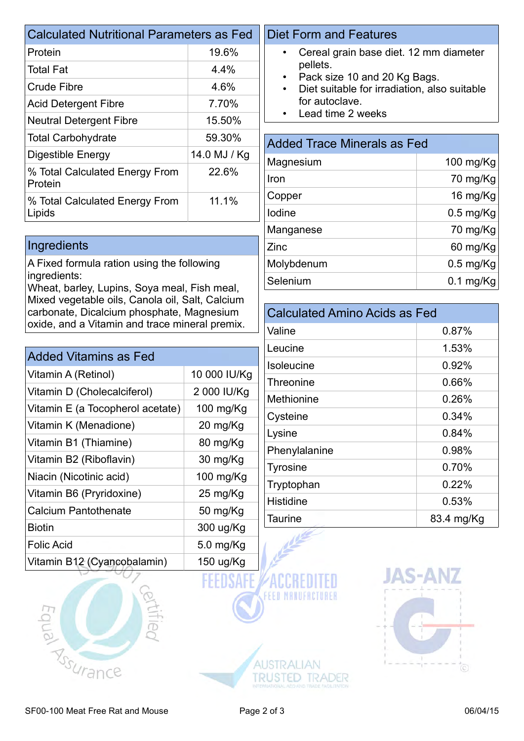| <b>Calculated Nutritional Parameters as Fed</b> |              |  |  |
|-------------------------------------------------|--------------|--|--|
| Protein                                         | 19.6%        |  |  |
| <b>Total Fat</b>                                | $4.4\%$      |  |  |
| Crude Fibre                                     | 4.6%         |  |  |
| <b>Acid Detergent Fibre</b>                     | 7.70%        |  |  |
| <b>Neutral Detergent Fibre</b>                  | 15.50%       |  |  |
| <b>Total Carbohydrate</b>                       | 59.30%       |  |  |
| Digestible Energy                               | 14.0 MJ / Kg |  |  |
| % Total Calculated Energy From<br>Protein       | 22.6%        |  |  |
| % Total Calculated Energy From<br>Lipids        | 11.1%        |  |  |

## **Ingredients**

A Fixed formula ration using the following ingredients:

Wheat, barley, Lupins, Soya meal, Fish meal, Mixed vegetable oils, Canola oil, Salt, Calcium carbonate, Dicalcium phosphate, Magnesium oxide, and a Vitamin and trace mineral premix.

| <b>Added Vitamins as Fed</b>     |              |  |  |
|----------------------------------|--------------|--|--|
| Vitamin A (Retinol)              | 10 000 IU/Kg |  |  |
| Vitamin D (Cholecalciferol)      | 2 000 IU/Kg  |  |  |
| Vitamin E (a Tocopherol acetate) | 100 mg/Kg    |  |  |
| Vitamin K (Menadione)            | 20 mg/Kg     |  |  |
| Vitamin B1 (Thiamine)            | 80 mg/Kg     |  |  |
| Vitamin B2 (Riboflavin)          | 30 mg/Kg     |  |  |
| Niacin (Nicotinic acid)          | 100 mg/Kg    |  |  |
| Vitamin B6 (Pryridoxine)         | 25 mg/Kg     |  |  |
| Calcium Pantothenate             | 50 mg/Kg     |  |  |
| <b>Biotin</b>                    | 300 ug/Kg    |  |  |
| <b>Folic Acid</b>                | $5.0$ mg/Kg  |  |  |
| Vitamin B12 (Cyancobalamin)      | 150 ug/Kg    |  |  |



## Diet Form and Features

- Cereal grain base diet. 12 mm diameter pellets.
- Pack size 10 and 20 Kg Bags.
- Diet suitable for irradiation, also suitable for autoclave.
- Lead time 2 weeks

| <b>Added Trace Minerals as Fed</b> |             |  |  |
|------------------------------------|-------------|--|--|
| Magnesium                          | 100 mg/Kg   |  |  |
| Iron                               | 70 mg/Kg    |  |  |
| Copper                             | 16 mg/Kg    |  |  |
| lodine                             | $0.5$ mg/Kg |  |  |
| Manganese                          | 70 mg/Kg    |  |  |
| Zinc                               | 60 mg/Kg    |  |  |
| Molybdenum                         | $0.5$ mg/Kg |  |  |
| Selenium                           | $0.1$ mg/Kg |  |  |

| <b>Calculated Amino Acids as Fed</b> |            |  |  |
|--------------------------------------|------------|--|--|
| Valine                               | 0.87%      |  |  |
| Leucine                              | 1.53%      |  |  |
| <b>Isoleucine</b>                    | 0.92%      |  |  |
| Threonine                            | 0.66%      |  |  |
| Methionine                           | 0.26%      |  |  |
| Cysteine                             | 0.34%      |  |  |
| Lysine                               | 0.84%      |  |  |
| Phenylalanine                        | 0.98%      |  |  |
| <b>Tyrosine</b>                      | 0.70%      |  |  |
| Tryptophan                           | 0.22%      |  |  |
| <b>Histidine</b>                     | 0.53%      |  |  |
| <b>Taurine</b>                       | 83.4 mg/Kg |  |  |



**TRUSTED TRADER**